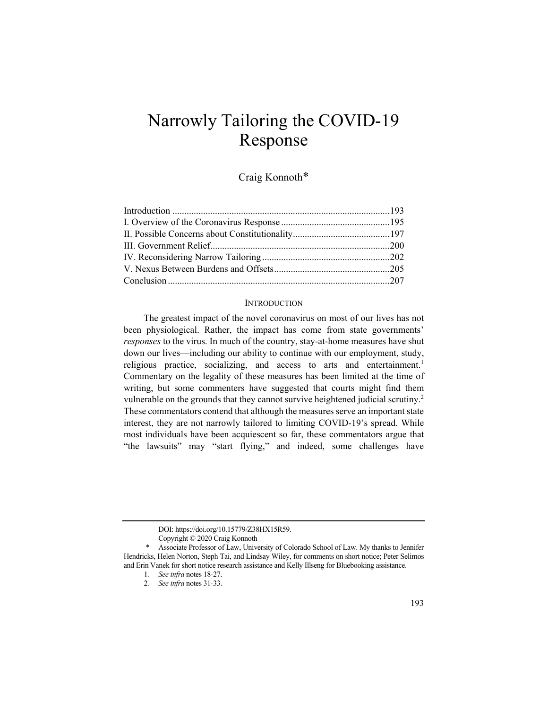# Narrowly Tailoring the COVID-19 Response

Craig Konnoth\*

### INTRODUCTION

The greatest impact of the novel coronavirus on most of our lives has not been physiological. Rather, the impact has come from state governments' *responses* to the virus. In much of the country, stay-at-home measures have shut down our lives—including our ability to continue with our employment, study, religious practice, socializing, and access to arts and entertainment.<sup>1</sup> Commentary on the legality of these measures has been limited at the time of writing, but some commenters have suggested that courts might find them vulnerable on the grounds that they cannot survive heightened judicial scrutiny.<sup>2</sup> These commentators contend that although the measures serve an important state interest, they are not narrowly tailored to limiting COVID-19's spread. While most individuals have been acquiescent so far, these commentators argue that "the lawsuits" may "start flying," and indeed, some challenges have

DOI: https://doi.org/10.15779/Z38HX15R59.

Copyright © 2020 Craig Konnoth

<sup>\*</sup> Associate Professor of Law, University of Colorado School of Law. My thanks to Jennifer Hendricks, Helen Norton, Steph Tai, and Lindsay Wiley, for comments on short notice; Peter Selimos and Erin Vanek for short notice research assistance and Kelly Illseng for Bluebooking assistance.

<sup>1</sup>*. See infra* notes 18-27.

<sup>2</sup>*. See infra* notes 31-33.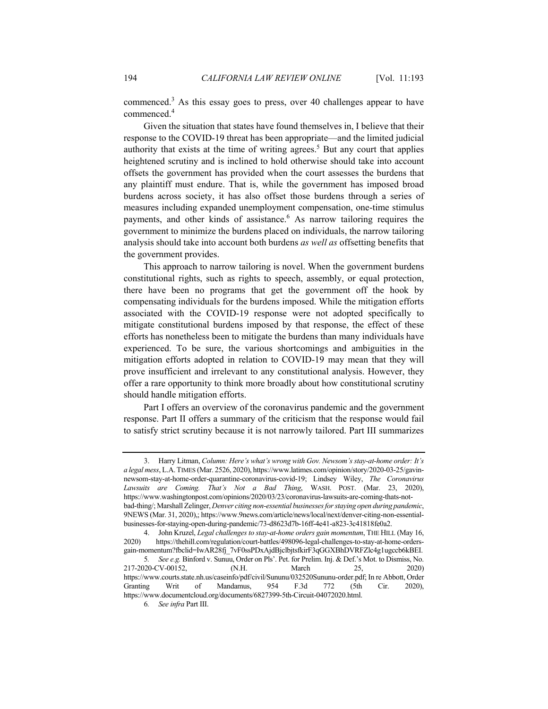commenced.<sup>3</sup> As this essay goes to press, over 40 challenges appear to have commenced.4

Given the situation that states have found themselves in, I believe that their response to the COVID-19 threat has been appropriate—and the limited judicial authority that exists at the time of writing agrees.<sup>5</sup> But any court that applies heightened scrutiny and is inclined to hold otherwise should take into account offsets the government has provided when the court assesses the burdens that any plaintiff must endure. That is, while the government has imposed broad burdens across society, it has also offset those burdens through a series of measures including expanded unemployment compensation, one-time stimulus payments, and other kinds of assistance.<sup>6</sup> As narrow tailoring requires the government to minimize the burdens placed on individuals, the narrow tailoring analysis should take into account both burdens *as well as* offsetting benefits that the government provides.

This approach to narrow tailoring is novel. When the government burdens constitutional rights, such as rights to speech, assembly, or equal protection, there have been no programs that get the government off the hook by compensating individuals for the burdens imposed. While the mitigation efforts associated with the COVID-19 response were not adopted specifically to mitigate constitutional burdens imposed by that response, the effect of these efforts has nonetheless been to mitigate the burdens than many individuals have experienced. To be sure, the various shortcomings and ambiguities in the mitigation efforts adopted in relation to COVID-19 may mean that they will prove insufficient and irrelevant to any constitutional analysis. However, they offer a rare opportunity to think more broadly about how constitutional scrutiny should handle mitigation efforts.

Part I offers an overview of the coronavirus pandemic and the government response. Part II offers a summary of the criticism that the response would fail to satisfy strict scrutiny because it is not narrowly tailored. Part III summarizes

 <sup>3.</sup> Harry Litman, *Column: Here's what's wrong with Gov. Newsom's stay-at-home order: It's a legal mess*, L.A.TIMES (Mar. 2526, 2020), https://www.latimes.com/opinion/story/2020-03-25/gavinnewsom-stay-at-home-order-quarantine-coronavirus-covid-19; Lindsey Wiley, *The Coronavirus Lawsuits are Coming. That's Not a Bad Thing*, WASH. POST. (Mar. 23, 2020), https://www.washingtonpost.com/opinions/2020/03/23/coronavirus-lawsuits-are-coming-thats-notbad-thing/; Marshall Zelinger, *Denver citing non-essential businesses for staying open during pandemic*, 9NEWS (Mar. 31, 2020),; https://www.9news.com/article/news/local/next/denver-citing-non-essentialbusinesses-for-staying-open-during-pandemic/73-d8623d7b-16ff-4e41-a823-3c41818fe0a2.

<sup>4.</sup> John Kruzel, *Legal challenges to stay-at-home orders gain momentum*, THE HILL (May 16, 2020) https://thehill.com/regulation/court-battles/498096-legal-challenges-to-stay-at-home-orders-2020) https://thehill.com/regulation/court-battles/498096-legal-challenges-to-stay-at-home-ordersgain-momentum?fbclid=IwAR28fj\_7vF0ssPDxAjdBjclbjtsfkirF3qGGXBhDVRFZlc4g1ugccb6kBEI. 5*. See e.g.* Binford v. Sunuu, Order on Pls'. Pet. for Prelim. Inj. & Def.'s Mot. to Dismiss, No. 217-2020-CV-00152, (N.H. March 25, 2020) https://www.courts.state.nh.us/caseinfo/pdf/civil/Sununu/032520Sununu-order.pdf; In re Abbott, Order Granting Writ of Mandamus, 954 F.3d 772 (5th Cir. 2020), https://www.documentcloud.org/documents/6827399-5th-Circuit-04072020.html.

<sup>6</sup>*. See infra* Part III.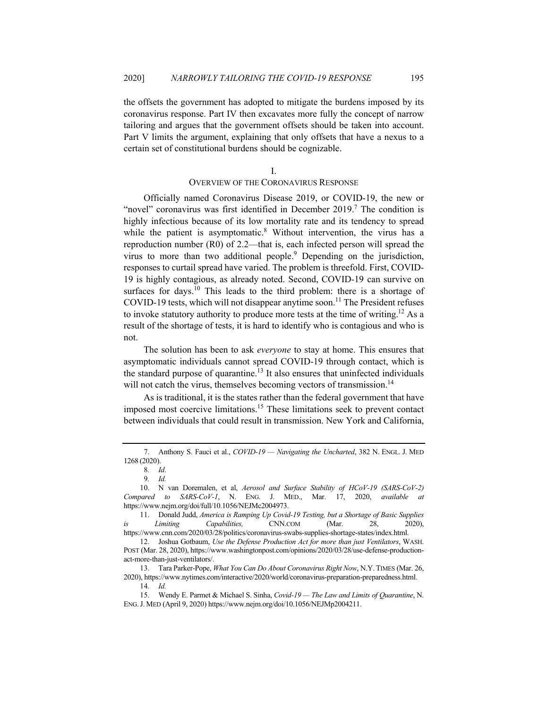the offsets the government has adopted to mitigate the burdens imposed by its coronavirus response. Part IV then excavates more fully the concept of narrow tailoring and argues that the government offsets should be taken into account. Part V limits the argument, explaining that only offsets that have a nexus to a certain set of constitutional burdens should be cognizable.

I.

# OVERVIEW OF THE CORONAVIRUS RESPONSE

Officially named Coronavirus Disease 2019, or COVID-19, the new or "novel" coronavirus was first identified in December 2019.<sup>7</sup> The condition is highly infectious because of its low mortality rate and its tendency to spread while the patient is asymptomatic.<sup>8</sup> Without intervention, the virus has a reproduction number (R0) of 2.2—that is, each infected person will spread the virus to more than two additional people.<sup>9</sup> Depending on the jurisdiction, responses to curtail spread have varied. The problem is threefold. First, COVID-19 is highly contagious, as already noted. Second, COVID-19 can survive on surfaces for days.<sup>10</sup> This leads to the third problem: there is a shortage of COVID-19 tests, which will not disappear anytime soon.<sup>11</sup> The President refuses to invoke statutory authority to produce more tests at the time of writing.<sup>12</sup> As a result of the shortage of tests, it is hard to identify who is contagious and who is not.

The solution has been to ask *everyone* to stay at home. This ensures that asymptomatic individuals cannot spread COVID-19 through contact, which is the standard purpose of quarantine.<sup>13</sup> It also ensures that uninfected individuals will not catch the virus, themselves becoming vectors of transmission.<sup>14</sup>

As is traditional, it is the states rather than the federal government that have imposed most coercive limitations.15 These limitations seek to prevent contact between individuals that could result in transmission. New York and California,

 <sup>7.</sup> Anthony S. Fauci et al., *COVID-19 — Navigating the Uncharted*, 382 N. ENGL. J. MED 1268 (2020).

<sup>8</sup>*. Id*.

<sup>9</sup>*. Id.*

 <sup>10.</sup> N van Doremalen, et al, *Aerosol and Surface Stability of HCoV-19 (SARS-CoV-2) Compared to SARS-CoV-1*, N. ENG. J. MED., Mar. 17, 2020, *available at*  https://www.nejm.org/doi/full/10.1056/NEJMc2004973.

 <sup>11.</sup> Donald Judd, *America is Ramping Up Covid-19 Testing, but a Shortage of Basic Supplies is Limiting Capabilities,* CNN.COM (Mar. 28, 2020), https://www.cnn.com/2020/03/28/politics/coronavirus-swabs-supplies-shortage-states/index.html.

 <sup>12.</sup> Joshua Gotbaum, *Use the Defense Production Act for more than just Ventilators*, WASH. POST (Mar. 28, 2020), https://www.washingtonpost.com/opinions/2020/03/28/use-defense-productionact-more-than-just-ventilators/.

 <sup>13.</sup> Tara Parker-Pope, *What You Can Do About Coronavirus Right Now*, N.Y. TIMES (Mar. 26, 2020), https://www.nytimes.com/interactive/2020/world/coronavirus-preparation-preparedness.html. 14*. Id.*

 <sup>15.</sup> Wendy E. Parmet & Michael S. Sinha, *Covid-19 — The Law and Limits of Quarantine*, N. ENG.J. MED (April 9, 2020) https://www.nejm.org/doi/10.1056/NEJMp2004211.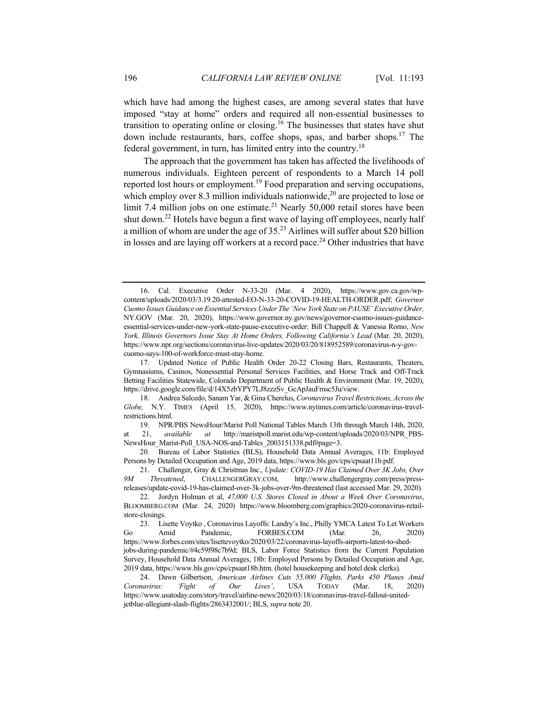which have had among the highest cases, are among several states that have imposed "stay at home" orders and required all non-essential businesses to transition to operating online or closing.16 The businesses that states have shut down include restaurants, bars, coffee shops, spas, and barber shops.<sup>17</sup> The federal government, in turn, has limited entry into the country.<sup>18</sup>

The approach that the government has taken has affected the livelihoods of numerous individuals. Eighteen percent of respondents to a March 14 poll reported lost hours or employment.19 Food preparation and serving occupations, which employ over 8.3 million individuals nationwide,<sup>20</sup> are projected to lose or limit 7.4 million jobs on one estimate.<sup>21</sup> Nearly 50,000 retail stores have been shut down.22 Hotels have begun a first wave of laying off employees, nearly half a million of whom are under the age of  $35<sup>23</sup>$  Airlines will suffer about \$20 billion in losses and are laying off workers at a record pace.<sup>24</sup> Other industries that have

 <sup>16.</sup> Cal. Executive Order N-33-20 (Mar. 4 2020), https://www.gov.ca.gov/wpcontent/uploads/2020/03/3.19.20-attested-EO-N-33-20-COVID-19-HEALTH-ORDER.pdf; *Governor Cuomo Issues Guidance on Essential Services Under The 'New York State on PAUSE' Executive Order,* NY.GOV (Mar. 20, 2020), https://www.governor.ny.gov/news/governor-cuomo-issues-guidanceessential-services-under-new-york-state-pause-executive-order; Bill Chappell & Vanessa Romo, *New York, Illinois Governors Issue Stay At Home Orders, Following California's Lead* (Mar. 20, 2020), https://www.npr.org/sections/coronavirus-live-updates/2020/03/20/818952589/coronavirus-n-y-govcuomo-says-100-of-workforce-must-stay-home.

 <sup>17.</sup> Updated Notice of Public Health Order 20-22 Closing Bars, Restaurants, Theaters, Gymnasiums, Casinos, Nonessential Personal Services Facilities, and Horse Track and Off-Track Betting Facilities Statewide, Colorado Department of Public Health & Environment (Mar. 19, 2020), https://drive.google.com/file/d/14X5zbYPY7LJ8zzzSv\_GcApJauFmsc5Ju/view.

 <sup>18.</sup> Andrea Salcedo, Sanam Yar, & Gina Cherelus, *Coronavirus Travel Restrictions, Across the Globe,* N.Y. TIMES (April 15, 2020), https://www.nytimes.com/article/coronavirus-travelrestrictions.html.

 <sup>19.</sup> NPR/PBS NewsHour/Marist Poll National Tables March 13th through March 14th, 2020, at 21, *available at* http://maristpoll.marist.edu/wp-content/uploads/2020/03/NPR\_PBS-NewsHour\_Marist-Poll\_USA-NOS-and-Tables\_2003151338.pdf#page=3.

 <sup>20.</sup> Bureau of Labor Statistics (BLS), Household Data Annual Averages, 11b: Employed Persons by Detailed Occupation and Age, 2019 data, https://www.bls.gov/cps/cpsaat11b.pdf.

 <sup>21.</sup> Challenger, Gray & Christmas Inc., *Update: COVID-19 Has Claimed Over 3K Jobs, Over 9M Threatened*, CHALLENGERGRAY.COM, http://www.challengergray.com/press/pressreleases/update-covid-19-has-claimed-over-3k-jobs-over-9m-threatened (last accessed Mar. 29, 2020).

 <sup>22.</sup> Jordyn Holman et al, *47,000 U.S. Stores Closed in About a Week Over Coronavirus*, BLOOMBERG.COM (Mar. 24, 2020) https://www.bloomberg.com/graphics/2020-coronavirus-retailstore-closings.

 <sup>23.</sup> Lisette Voytko , Coronavirus Layoffs: Landry's Inc., Philly YMCA Latest To Let Workers Go Amid Pandemic, FORBES.COM (Mar. 26, 2020) https://www.forbes.com/sites/lisettevoytko/2020/03/22/coronavirus-layoffs-airports-latest-to-shedjobs-during-pandemic/#4c59f98c7b9d; BLS, Labor Force Statistics from the Current Population Survey, Household Data Annual Averages, 18b: Employed Persons by Detailed Occupation and Age, 2019 data, https://www.bls.gov/cps/cpsaat18b.htm. (hotel housekeeping and hotel desk clerks).

 <sup>24.</sup> Dawn Gilbertson, *American Airlines Cuts 55,000 Flights, Parks 450 Planes Amid Coronavirus: 'Fight of Our Lives'*, USA TODAY (Mar. 18, 2020) https://www.usatoday.com/story/travel/airline-news/2020/03/18/coronavirus-travel-fallout-unitedjetblue-allegiant-slash-flights/2863432001/; BLS, *supra* note 20.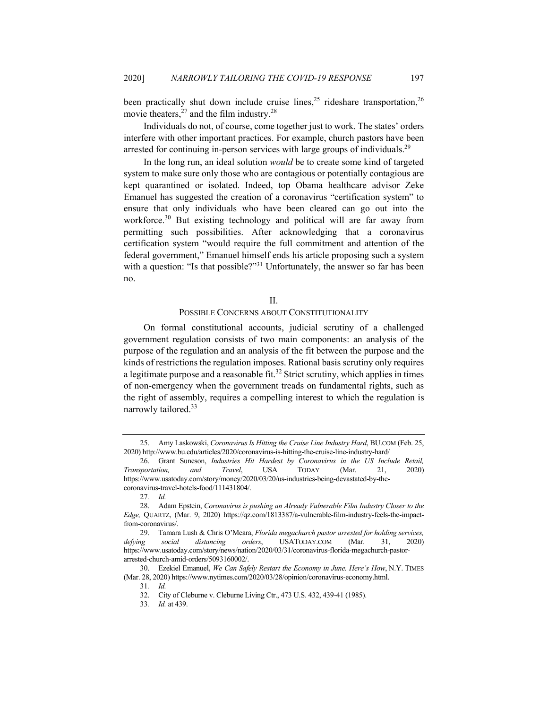been practically shut down include cruise lines,<sup>25</sup> rideshare transportation,<sup>26</sup> movie theaters,  $27$  and the film industry.<sup>28</sup>

Individuals do not, of course, come together just to work. The states' orders interfere with other important practices. For example, church pastors have been arrested for continuing in-person services with large groups of individuals.<sup>29</sup>

In the long run, an ideal solution *would* be to create some kind of targeted system to make sure only those who are contagious or potentially contagious are kept quarantined or isolated. Indeed, top Obama healthcare advisor Zeke Emanuel has suggested the creation of a coronavirus "certification system" to ensure that only individuals who have been cleared can go out into the workforce.<sup>30</sup> But existing technology and political will are far away from permitting such possibilities. After acknowledging that a coronavirus certification system "would require the full commitment and attention of the federal government," Emanuel himself ends his article proposing such a system with a question: "Is that possible?"<sup>31</sup> Unfortunately, the answer so far has been no.

#### II.

# POSSIBLE CONCERNS ABOUT CONSTITUTIONALITY

On formal constitutional accounts, judicial scrutiny of a challenged government regulation consists of two main components: an analysis of the purpose of the regulation and an analysis of the fit between the purpose and the kinds of restrictions the regulation imposes. Rational basis scrutiny only requires a legitimate purpose and a reasonable fit.<sup>32</sup> Strict scrutiny, which applies in times of non-emergency when the government treads on fundamental rights, such as the right of assembly, requires a compelling interest to which the regulation is narrowly tailored.<sup>33</sup>

 <sup>25.</sup> Amy Laskowski, *Coronavirus Is Hitting the Cruise Line Industry Hard*, BU.COM (Feb. 25, 2020) http://www.bu.edu/articles/2020/coronavirus-is-hitting-the-cruise-line-industry-hard/

 <sup>26.</sup> Grant Suneson, *Industries Hit Hardest by Coronavirus in the US Include Retail, Transportation, and Travel*, USA TODAY (Mar. 21, 2020) https://www.usatoday.com/story/money/2020/03/20/us-industries-being-devastated-by-thecoronavirus-travel-hotels-food/111431804/.

<sup>27</sup>*. Id.*

 <sup>28.</sup> Adam Epstein, *Coronavirus is pushing an Already Vulnerable Film Industry Closer to the Edge,* QUARTZ, (Mar. 9, 2020) https://qz.com/1813387/a-vulnerable-film-industry-feels-the-impactfrom-coronavirus/.

 <sup>29.</sup> Tamara Lush & Chris O'Meara, *Florida megachurch pastor arrested for holding services, defying social distancing orders*, USATODAY.COM (Mar. 31, 2020) https://www.usatoday.com/story/news/nation/2020/03/31/coronavirus-florida-megachurch-pastorarrested-church-amid-orders/5093160002/.

 <sup>30.</sup> Ezekiel Emanuel, *We Can Safely Restart the Economy in June. Here's How*, N.Y. TIMES (Mar. 28, 2020) https://www.nytimes.com/2020/03/28/opinion/coronavirus-economy.html.

<sup>31</sup>*. Id.*

 <sup>32.</sup> City of Cleburne v. Cleburne Living Ctr., 473 U.S. 432, 439-41 (1985).

<sup>33</sup>*. Id.* at 439.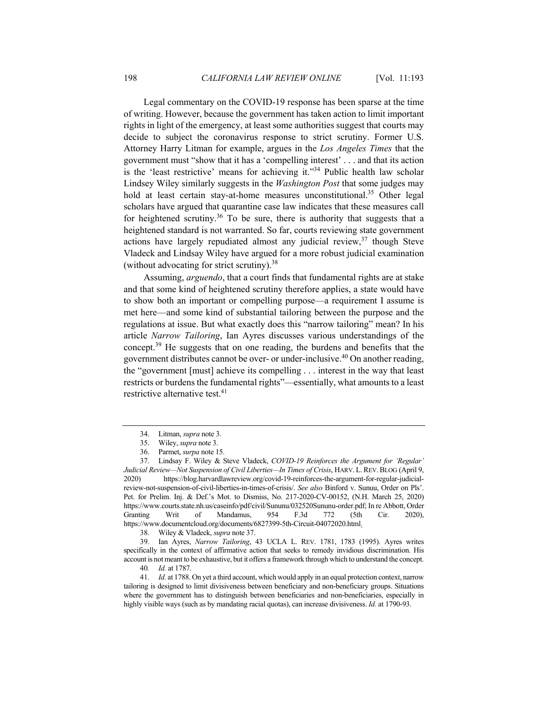Legal commentary on the COVID-19 response has been sparse at the time of writing. However, because the government has taken action to limit important rights in light of the emergency, at least some authorities suggest that courts may decide to subject the coronavirus response to strict scrutiny. Former U.S. Attorney Harry Litman for example, argues in the *Los Angeles Times* that the government must "show that it has a 'compelling interest' . . . and that its action is the 'least restrictive' means for achieving it."<sup>34</sup> Public health law scholar Lindsey Wiley similarly suggests in the *Washington Post* that some judges may hold at least certain stay-at-home measures unconstitutional.<sup>35</sup> Other legal scholars have argued that quarantine case law indicates that these measures call for heightened scrutiny.<sup>36</sup> To be sure, there is authority that suggests that a heightened standard is not warranted. So far, courts reviewing state government actions have largely repudiated almost any judicial review, $37$  though Steve Vladeck and Lindsay Wiley have argued for a more robust judicial examination (without advocating for strict scrutiny).38

Assuming, *arguendo*, that a court finds that fundamental rights are at stake and that some kind of heightened scrutiny therefore applies, a state would have to show both an important or compelling purpose—a requirement I assume is met here—and some kind of substantial tailoring between the purpose and the regulations at issue. But what exactly does this "narrow tailoring" mean? In his article *Narrow Tailoring*, Ian Ayres discusses various understandings of the concept.<sup>39</sup> He suggests that on one reading, the burdens and benefits that the government distributes cannot be over- or under-inclusive.40 On another reading, the "government [must] achieve its compelling . . . interest in the way that least restricts or burdens the fundamental rights"—essentially, what amounts to a least restrictive alternative test.<sup>41</sup>

 39. Ian Ayres, *Narrow Tailoring*, 43 UCLA L. REV. 1781, 1783 (1995). Ayres writes specifically in the context of affirmative action that seeks to remedy invidious discrimination. His account is not meant to be exhaustive, but it offers a framework through which to understand the concept.

 <sup>34.</sup> Litman, *supra* note 3.

 <sup>35.</sup> Wiley, *supra* note 3.

 <sup>36.</sup> Parmet, *surpa* note 15.

 <sup>37.</sup> Lindsay F. Wiley & Steve Vladeck, *COVID-19 Reinforces the Argument for 'Regular' Judicial Review—Not Suspension of Civil Liberties—In Times of Crisis*, HARV. L.REV.BLOG (April 9, 2020) https://blog.harvardlawreview.org/covid-19-reinforces-the-argument-for-regular-judicialreview-not-suspension-of-civil-liberties-in-times-of-crisis/. *See also* Binford v. Sunuu, Order on Pls'. Pet. for Prelim. Inj. & Def.'s Mot. to Dismiss, No. 217-2020-CV-00152, (N.H. March 25, 2020) https://www.courts.state.nh.us/caseinfo/pdf/civil/Sununu/032520Sununu-order.pdf; In re Abbott, Order Granting Writ of Mandamus, 954 F.3d 772 (5th Cir. 2020), https://www.documentcloud.org/documents/6827399-5th-Circuit-04072020.html.

 <sup>38.</sup> Wiley & Vladeck, *supra* note 37.

<sup>40</sup>*. Id.* at 1787.

<sup>41</sup>*. Id.* at 1788. On yet a third account, which would apply in an equal protection context, narrow tailoring is designed to limit divisiveness between beneficiary and non-beneficiary groups. Situations where the government has to distinguish between beneficiaries and non-beneficiaries, especially in highly visible ways (such as by mandating racial quotas), can increase divisiveness. *Id.* at 1790-93.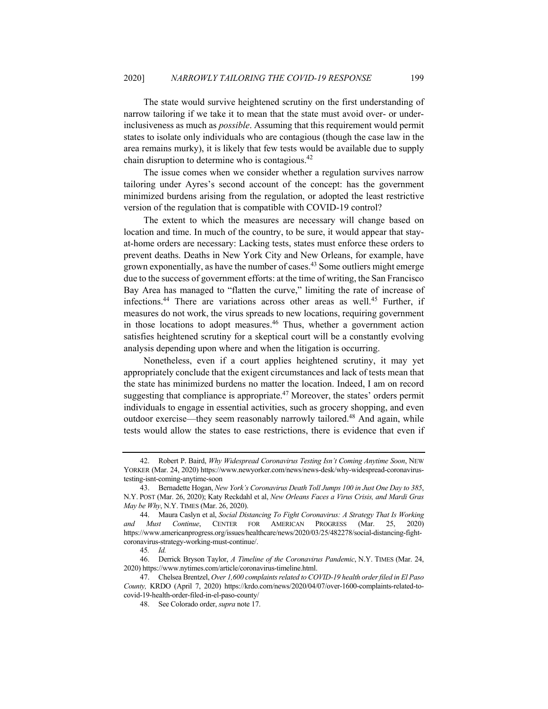The state would survive heightened scrutiny on the first understanding of narrow tailoring if we take it to mean that the state must avoid over- or underinclusiveness as much as *possible*. Assuming that this requirement would permit states to isolate only individuals who are contagious (though the case law in the area remains murky), it is likely that few tests would be available due to supply chain disruption to determine who is contagious. $42$ 

The issue comes when we consider whether a regulation survives narrow tailoring under Ayres's second account of the concept: has the government minimized burdens arising from the regulation, or adopted the least restrictive version of the regulation that is compatible with COVID-19 control?

The extent to which the measures are necessary will change based on location and time. In much of the country, to be sure, it would appear that stayat-home orders are necessary: Lacking tests, states must enforce these orders to prevent deaths. Deaths in New York City and New Orleans, for example, have grown exponentially, as have the number of cases.<sup>43</sup> Some outliers might emerge due to the success of government efforts: at the time of writing, the San Francisco Bay Area has managed to "flatten the curve," limiting the rate of increase of infections.<sup>44</sup> There are variations across other areas as well.<sup>45</sup> Further, if measures do not work, the virus spreads to new locations, requiring government in those locations to adopt measures.<sup>46</sup> Thus, whether a government action satisfies heightened scrutiny for a skeptical court will be a constantly evolving analysis depending upon where and when the litigation is occurring.

Nonetheless, even if a court applies heightened scrutiny, it may yet appropriately conclude that the exigent circumstances and lack of tests mean that the state has minimized burdens no matter the location. Indeed, I am on record suggesting that compliance is appropriate.<sup>47</sup> Moreover, the states' orders permit individuals to engage in essential activities, such as grocery shopping, and even outdoor exercise—they seem reasonably narrowly tailored.<sup>48</sup> And again, while tests would allow the states to ease restrictions, there is evidence that even if

 <sup>42.</sup> Robert P. Baird, *Why Widespread Coronavirus Testing Isn't Coming Anytime Soon*, NEW YORKER (Mar. 24, 2020) https://www.newyorker.com/news/news-desk/why-widespread-coronavirustesting-isnt-coming-anytime-soon

 <sup>43.</sup> Bernadette Hogan, *New York's Coronavirus Death Toll Jumps 100 in Just One Day to 385*, N.Y. POST (Mar. 26, 2020); Katy Reckdahl et al, *New Orleans Faces a Virus Crisis, and Mardi Gras May be Why*, N.Y. TIMES (Mar. 26, 2020).

 <sup>44.</sup> Maura Caslyn et al, *Social Distancing To Fight Coronavirus: A Strategy That Is Working Must Continue*, CENTER FOR AMERICAN PROGRESS (Mar. 25, 2020) https://www.americanprogress.org/issues/healthcare/news/2020/03/25/482278/social-distancing-fightcoronavirus-strategy-working-must-continue/.

<sup>45</sup>*. Id.*

 <sup>46.</sup> Derrick Bryson Taylor, *A Timeline of the Coronavirus Pandemic*, N.Y. TIMES (Mar. 24, 2020) https://www.nytimes.com/article/coronavirus-timeline.html.

 <sup>47.</sup> Chelsea Brentzel, *Over 1,600 complaints related to COVID-19 health order filed in El Paso County,* KRDO (April 7, 2020) https://krdo.com/news/2020/04/07/over-1600-complaints-related-tocovid-19-health-order-filed-in-el-paso-county/

 <sup>48.</sup> See Colorado order, *supra* note 17.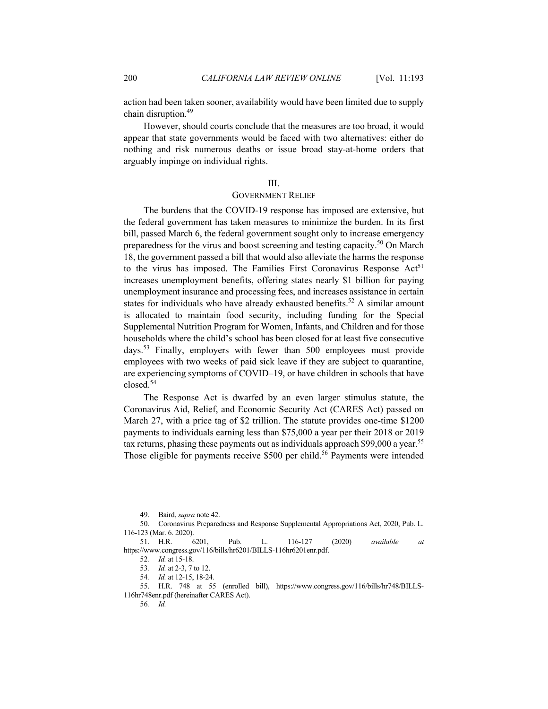action had been taken sooner, availability would have been limited due to supply chain disruption.<sup>49</sup>

However, should courts conclude that the measures are too broad, it would appear that state governments would be faced with two alternatives: either do nothing and risk numerous deaths or issue broad stay-at-home orders that arguably impinge on individual rights.

# III.

#### GOVERNMENT RELIEF

The burdens that the COVID-19 response has imposed are extensive, but the federal government has taken measures to minimize the burden. In its first bill, passed March 6, the federal government sought only to increase emergency preparedness for the virus and boost screening and testing capacity.<sup>50</sup> On March 18, the government passed a bill that would also alleviate the harms the response to the virus has imposed. The Families First Coronavirus Response  $Act<sup>51</sup>$ increases unemployment benefits, offering states nearly \$1 billion for paying unemployment insurance and processing fees, and increases assistance in certain states for individuals who have already exhausted benefits.<sup>52</sup> A similar amount is allocated to maintain food security, including funding for the Special Supplemental Nutrition Program for Women, Infants, and Children and for those households where the child's school has been closed for at least five consecutive days.<sup>53</sup> Finally, employers with fewer than 500 employees must provide employees with two weeks of paid sick leave if they are subject to quarantine, are experiencing symptoms of COVID–19, or have children in schools that have closed.54

The Response Act is dwarfed by an even larger stimulus statute, the Coronavirus Aid, Relief, and Economic Security Act (CARES Act) passed on March 27, with a price tag of \$2 trillion. The statute provides one-time \$1200 payments to individuals earning less than \$75,000 a year per their 2018 or 2019 tax returns, phasing these payments out as individuals approach \$99,000 a year.<sup>55</sup> Those eligible for payments receive \$500 per child.<sup>56</sup> Payments were intended

 <sup>49.</sup> Baird, *supra* note 42.

 <sup>50.</sup> Coronavirus Preparedness and Response Supplemental Appropriations Act, 2020, Pub. L. 116-123 (Mar. 6. 2020).

 <sup>51.</sup> H.R. 6201, Pub. L. 116-127 (2020) *available at* https://www.congress.gov/116/bills/hr6201/BILLS-116hr6201enr.pdf.

<sup>52</sup>*. Id.* at 15-18.

<sup>53</sup>*. Id.* at 2-3, 7 to 12.

<sup>54</sup>*. Id.* at 12-15, 18-24.

 <sup>55.</sup> H.R. 748 at 55 (enrolled bill), https://www.congress.gov/116/bills/hr748/BILLS-116hr748enr.pdf (hereinafter CARES Act).

<sup>56</sup>*. Id.*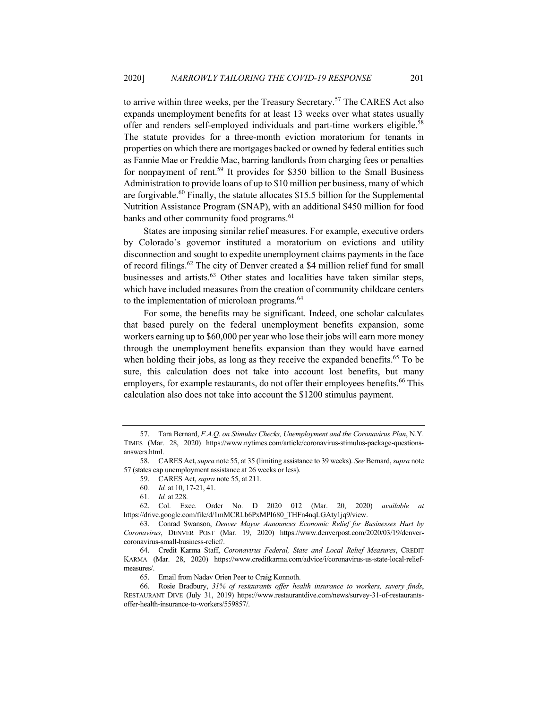to arrive within three weeks, per the Treasury Secretary.<sup>57</sup> The CARES Act also expands unemployment benefits for at least 13 weeks over what states usually offer and renders self-employed individuals and part-time workers eligible.<sup>58</sup> The statute provides for a three-month eviction moratorium for tenants in properties on which there are mortgages backed or owned by federal entities such as Fannie Mae or Freddie Mac, barring landlords from charging fees or penalties for nonpayment of rent.<sup>59</sup> It provides for \$350 billion to the Small Business Administration to provide loans of up to \$10 million per business, many of which are forgivable.<sup>60</sup> Finally, the statute allocates \$15.5 billion for the Supplemental Nutrition Assistance Program (SNAP), with an additional \$450 million for food banks and other community food programs.<sup>61</sup>

States are imposing similar relief measures. For example, executive orders by Colorado's governor instituted a moratorium on evictions and utility disconnection and sought to expedite unemployment claims payments in the face of record filings.<sup>62</sup> The city of Denver created a \$4 million relief fund for small businesses and artists.<sup>63</sup> Other states and localities have taken similar steps, which have included measures from the creation of community childcare centers to the implementation of microloan programs.<sup>64</sup>

For some, the benefits may be significant. Indeed, one scholar calculates that based purely on the federal unemployment benefits expansion, some workers earning up to \$60,000 per year who lose their jobs will earn more money through the unemployment benefits expansion than they would have earned when holding their jobs, as long as they receive the expanded benefits.<sup>65</sup> To be sure, this calculation does not take into account lost benefits, but many employers, for example restaurants, do not offer their employees benefits.<sup>66</sup> This calculation also does not take into account the \$1200 stimulus payment.

 <sup>57.</sup> Tara Bernard, *F.A.Q. on Stimulus Checks, Unemployment and the Coronavirus Plan*, N.Y. TIMES (Mar. 28, 2020) https://www.nytimes.com/article/coronavirus-stimulus-package-questionsanswers.html.

 <sup>58.</sup> CARES Act, *supra* note 55, at 35 (limiting assistance to 39 weeks). *See* Bernard, *supra* note 57 (states cap unemployment assistance at 26 weeks or less).

 <sup>59.</sup> CARES Act, *supra* note 55, at 211.

<sup>60</sup>*. Id.* at 10, 17-21, 41.

<sup>61</sup>*. Id.* at 228.

 <sup>62.</sup> Col. Exec. Order No. D 2020 012 (Mar. 20, 2020) *available at*  https://drive.google.com/file/d/1mMCRLb6PxMPI680\_THFn4nqLGAty1jq9/view.

 <sup>63.</sup> Conrad Swanson, *Denver Mayor Announces Economic Relief for Businesses Hurt by Coronavirus*, DENVER POST (Mar. 19, 2020) https://www.denverpost.com/2020/03/19/denvercoronavirus-small-business-relief/.

 <sup>64.</sup> Credit Karma Staff, *Coronavirus Federal, State and Local Relief Measures*, CREDIT KARMA (Mar. 28, 2020) https://www.creditkarma.com/advice/i/coronavirus-us-state-local-reliefmeasures/.

 <sup>65.</sup> Email from Nadav Orien Peer to Craig Konnoth.

 <sup>66.</sup> Rosie Bradbury, *31% of restaurants offer health insurance to workers, suvery finds*, RESTAURANT DIVE (July 31, 2019) https://www.restaurantdive.com/news/survey-31-of-restaurantsoffer-health-insurance-to-workers/559857/.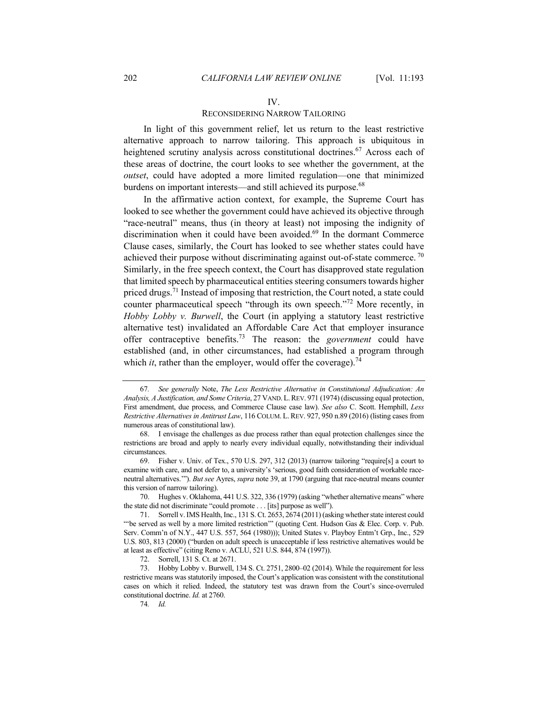#### IV.

#### RECONSIDERING NARROW TAILORING

In light of this government relief, let us return to the least restrictive alternative approach to narrow tailoring. This approach is ubiquitous in heightened scrutiny analysis across constitutional doctrines.<sup>67</sup> Across each of these areas of doctrine, the court looks to see whether the government, at the *outset*, could have adopted a more limited regulation—one that minimized burdens on important interests—and still achieved its purpose.<sup>68</sup>

In the affirmative action context, for example, the Supreme Court has looked to see whether the government could have achieved its objective through "race-neutral" means, thus (in theory at least) not imposing the indignity of discrimination when it could have been avoided.<sup>69</sup> In the dormant Commerce Clause cases, similarly, the Court has looked to see whether states could have achieved their purpose without discriminating against out-of-state commerce.  $\frac{70}{10}$ Similarly, in the free speech context, the Court has disapproved state regulation that limited speech by pharmaceutical entities steering consumers towards higher priced drugs.<sup>71</sup> Instead of imposing that restriction, the Court noted, a state could counter pharmaceutical speech "through its own speech."<sup>72</sup> More recently, in *Hobby Lobby v. Burwell*, the Court (in applying a statutory least restrictive alternative test) invalidated an Affordable Care Act that employer insurance offer contraceptive benefits.73 The reason: the *government* could have established (and, in other circumstances, had established a program through which *it*, rather than the employer, would offer the coverage).<sup>74</sup>

 70. Hughes v. Oklahoma, 441 U.S. 322, 336 (1979) (asking "whether alternative means" where the state did not discriminate "could promote . . . [its] purpose as well").

<sup>67</sup>*. See generally* Note, *The Less Restrictive Alternative in Constitutional Adjudication: An Analysis, A Justification, and Some Criteria*, 27 VAND.L.REV. 971 (1974) (discussing equal protection, First amendment, due process, and Commerce Clause case law). *See also* C. Scott. Hemphill, *Less Restrictive Alternatives in Antitrust Law*, 116 COLUM. L.REV. 927, 950 n.89 (2016) (listing cases from numerous areas of constitutional law).

 <sup>68.</sup> I envisage the challenges as due process rather than equal protection challenges since the restrictions are broad and apply to nearly every individual equally, notwithstanding their individual circumstances.

 <sup>69.</sup> Fisher v. Univ. of Tex., 570 U.S. 297, 312 (2013) (narrow tailoring "require[s] a court to examine with care, and not defer to, a university's 'serious, good faith consideration of workable raceneutral alternatives.'"). *But see* Ayres, *supra* note 39, at 1790 (arguing that race-neutral means counter this version of narrow tailoring).

 <sup>71.</sup> Sorrell v. IMS Health, Inc., 131 S. Ct. 2653, 2674 (2011) (asking whether state interest could "'be served as well by a more limited restriction'" (quoting Cent. Hudson Gas & Elec. Corp. v. Pub. Serv. Comm'n of N.Y., 447 U.S. 557, 564 (1980))); United States v. Playboy Entm't Grp., Inc., 529 U.S. 803, 813 (2000) ("burden on adult speech is unacceptable if less restrictive alternatives would be at least as effective" (citing Reno v. ACLU, 521 U.S. 844, 874 (1997)).

 <sup>72.</sup> Sorrell, 131 S. Ct. at 2671.

 <sup>73.</sup> Hobby Lobby v. Burwell, 134 S. Ct. 2751, 2800–02 (2014). While the requirement for less restrictive means was statutorily imposed, the Court's application was consistent with the constitutional cases on which it relied. Indeed, the statutory test was drawn from the Court's since-overruled constitutional doctrine. *Id.* at 2760.

<sup>74</sup>*. Id.*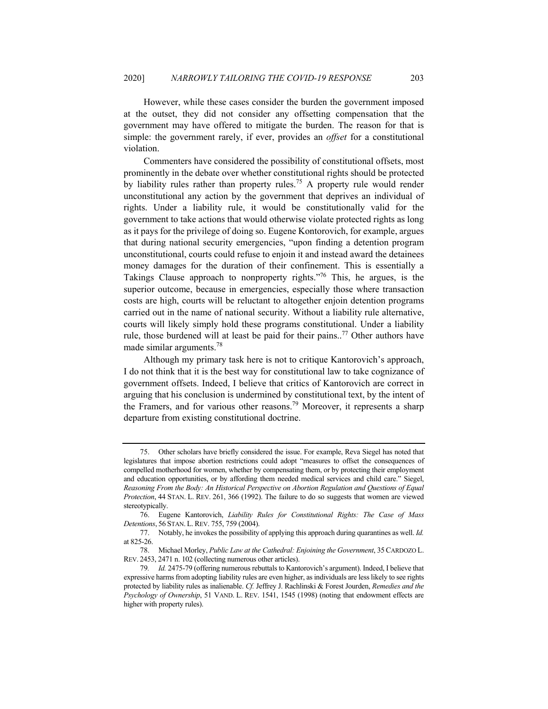However, while these cases consider the burden the government imposed at the outset, they did not consider any offsetting compensation that the government may have offered to mitigate the burden. The reason for that is simple: the government rarely, if ever, provides an *offset* for a constitutional violation.

Commenters have considered the possibility of constitutional offsets, most prominently in the debate over whether constitutional rights should be protected by liability rules rather than property rules.75 A property rule would render unconstitutional any action by the government that deprives an individual of rights. Under a liability rule, it would be constitutionally valid for the government to take actions that would otherwise violate protected rights as long as it pays for the privilege of doing so. Eugene Kontorovich, for example, argues that during national security emergencies, "upon finding a detention program unconstitutional, courts could refuse to enjoin it and instead award the detainees money damages for the duration of their confinement. This is essentially a Takings Clause approach to nonproperty rights."76 This, he argues, is the superior outcome, because in emergencies, especially those where transaction costs are high, courts will be reluctant to altogether enjoin detention programs carried out in the name of national security. Without a liability rule alternative, courts will likely simply hold these programs constitutional. Under a liability rule, those burdened will at least be paid for their pains..<sup>77</sup> Other authors have made similar arguments.<sup>78</sup>

Although my primary task here is not to critique Kantorovich's approach, I do not think that it is the best way for constitutional law to take cognizance of government offsets. Indeed, I believe that critics of Kantorovich are correct in arguing that his conclusion is undermined by constitutional text, by the intent of the Framers, and for various other reasons.<sup>79</sup> Moreover, it represents a sharp departure from existing constitutional doctrine.

 <sup>75.</sup> Other scholars have briefly considered the issue. For example, Reva Siegel has noted that legislatures that impose abortion restrictions could adopt "measures to offset the consequences of compelled motherhood for women, whether by compensating them, or by protecting their employment and education opportunities, or by affording them needed medical services and child care." Siegel, *Reasoning From the Body: An Historical Perspective on Abortion Regulation and Questions of Equal Protection*, 44 STAN. L. REV. 261, 366 (1992). The failure to do so suggests that women are viewed stereotypically.

 <sup>76.</sup> Eugene Kantorovich, *Liability Rules for Constitutional Rights: The Case of Mass Detentions*, 56 STAN. L. REV. 755, 759 (2004).

 <sup>77.</sup> Notably, he invokes the possibility of applying this approach during quarantines as well. *Id.*  at 825-26.

 <sup>78.</sup> Michael Morley, *Public Law at the Cathedral: Enjoining the Government*, 35CARDOZO L. REV. 2453, 2471 n. 102 (collecting numerous other articles).

<sup>79</sup>*. Id.* 2475-79 (offering numerous rebuttals to Kantorovich's argument). Indeed, I believe that expressive harms from adopting liability rules are even higher, as individuals are less likely to see rights protected by liability rules as inalienable. *Cf.* Jeffrey J. Rachlinski & Forest Jourden, *Remedies and the Psychology of Ownership*, 51 VAND. L. REV. 1541, 1545 (1998) (noting that endowment effects are higher with property rules).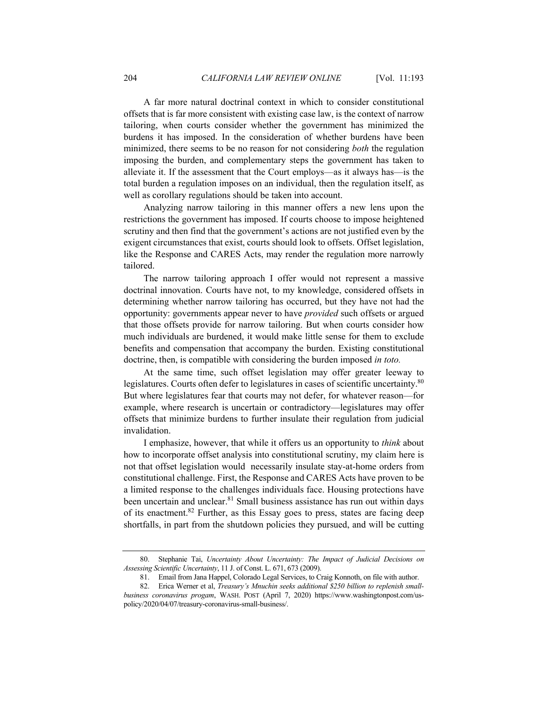A far more natural doctrinal context in which to consider constitutional offsets that is far more consistent with existing case law, is the context of narrow tailoring, when courts consider whether the government has minimized the burdens it has imposed. In the consideration of whether burdens have been minimized, there seems to be no reason for not considering *both* the regulation imposing the burden, and complementary steps the government has taken to alleviate it. If the assessment that the Court employs—as it always has—is the total burden a regulation imposes on an individual, then the regulation itself, as well as corollary regulations should be taken into account.

Analyzing narrow tailoring in this manner offers a new lens upon the restrictions the government has imposed. If courts choose to impose heightened scrutiny and then find that the government's actions are not justified even by the exigent circumstances that exist, courts should look to offsets. Offset legislation, like the Response and CARES Acts, may render the regulation more narrowly tailored.

The narrow tailoring approach I offer would not represent a massive doctrinal innovation. Courts have not, to my knowledge, considered offsets in determining whether narrow tailoring has occurred, but they have not had the opportunity: governments appear never to have *provided* such offsets or argued that those offsets provide for narrow tailoring. But when courts consider how much individuals are burdened, it would make little sense for them to exclude benefits and compensation that accompany the burden. Existing constitutional doctrine, then, is compatible with considering the burden imposed *in toto.*

At the same time, such offset legislation may offer greater leeway to legislatures. Courts often defer to legislatures in cases of scientific uncertainty.<sup>80</sup> But where legislatures fear that courts may not defer, for whatever reason—for example, where research is uncertain or contradictory—legislatures may offer offsets that minimize burdens to further insulate their regulation from judicial invalidation.

I emphasize, however, that while it offers us an opportunity to *think* about how to incorporate offset analysis into constitutional scrutiny, my claim here is not that offset legislation would necessarily insulate stay-at-home orders from constitutional challenge. First, the Response and CARES Acts have proven to be a limited response to the challenges individuals face. Housing protections have been uncertain and unclear.<sup>81</sup> Small business assistance has run out within days of its enactment.<sup>82</sup> Further, as this Essay goes to press, states are facing deep shortfalls, in part from the shutdown policies they pursued, and will be cutting

 <sup>80.</sup> Stephanie Tai, *Uncertainty About Uncertainty: The Impact of Judicial Decisions on Assessing Scientific Uncertainty*, 11 J. of Const. L. 671, 673 (2009).

 <sup>81.</sup> Email from Jana Happel, Colorado Legal Services, to Craig Konnoth, on file with author.

 <sup>82.</sup> Erica Werner et al, *Treasury's Mnuchin seeks additional \$250 billion to replenish smallbusiness coronavirus progam*, WASH. POST (April 7, 2020) https://www.washingtonpost.com/uspolicy/2020/04/07/treasury-coronavirus-small-business/.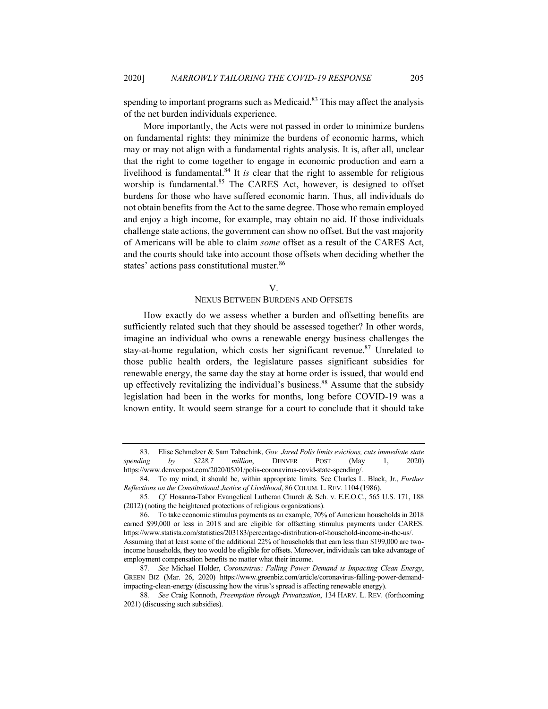spending to important programs such as Medicaid. $83$  This may affect the analysis of the net burden individuals experience.

More importantly, the Acts were not passed in order to minimize burdens on fundamental rights: they minimize the burdens of economic harms, which may or may not align with a fundamental rights analysis. It is, after all, unclear that the right to come together to engage in economic production and earn a livelihood is fundamental.<sup>84</sup> It *is* clear that the right to assemble for religious worship is fundamental.<sup>85</sup> The CARES Act, however, is designed to offset burdens for those who have suffered economic harm. Thus, all individuals do not obtain benefits from the Act to the same degree. Those who remain employed and enjoy a high income, for example, may obtain no aid. If those individuals challenge state actions, the government can show no offset. But the vast majority of Americans will be able to claim *some* offset as a result of the CARES Act, and the courts should take into account those offsets when deciding whether the states' actions pass constitutional muster.<sup>86</sup>

#### V.

## NEXUS BETWEEN BURDENS AND OFFSETS

How exactly do we assess whether a burden and offsetting benefits are sufficiently related such that they should be assessed together? In other words, imagine an individual who owns a renewable energy business challenges the stay-at-home regulation, which costs her significant revenue.<sup>87</sup> Unrelated to those public health orders, the legislature passes significant subsidies for renewable energy, the same day the stay at home order is issued, that would end up effectively revitalizing the individual's business.<sup>88</sup> Assume that the subsidy legislation had been in the works for months, long before COVID-19 was a known entity. It would seem strange for a court to conclude that it should take

 <sup>83.</sup> Elise Schmelzer & Sam Tabachink, *Gov. Jared Polis limits evictions, cuts immediate state spending by \$228.7 million*, DENVER POST (May 1, 2020) https://www.denverpost.com/2020/05/01/polis-coronavirus-covid-state-spending/.

 <sup>84.</sup> To my mind, it should be, within appropriate limits. See Charles L. Black, Jr., *Further Reflections on the Constitutional Justice of Livelihood*, 86 COLUM. L.REV. 1104 (1986).

<sup>85</sup>*. Cf.* Hosanna-Tabor Evangelical Lutheran Church & Sch. v. E.E.O.C., 565 U.S. 171, 188 (2012) (noting the heightened protections of religious organizations).

 <sup>86.</sup> To take economic stimulus payments as an example, 70% of American households in 2018 earned \$99,000 or less in 2018 and are eligible for offsetting stimulus payments under CARES. https://www.statista.com/statistics/203183/percentage-distribution-of-household-income-in-the-us/. Assuming that at least some of the additional 22% of households that earn less than \$199,000 are twoincome households, they too would be eligible for offsets. Moreover, individuals can take advantage of employment compensation benefits no matter what their income.

<sup>87</sup>*. See* Michael Holder, *Coronavirus: Falling Power Demand is Impacting Clean Energy*, GREEN BIZ (Mar. 26, 2020) https://www.greenbiz.com/article/coronavirus-falling-power-demandimpacting-clean-energy (discussing how the virus's spread is affecting renewable energy).

<sup>88</sup>*. See* Craig Konnoth, *Preemption through Privatization*, 134 HARV. L. REV. (forthcoming 2021) (discussing such subsidies).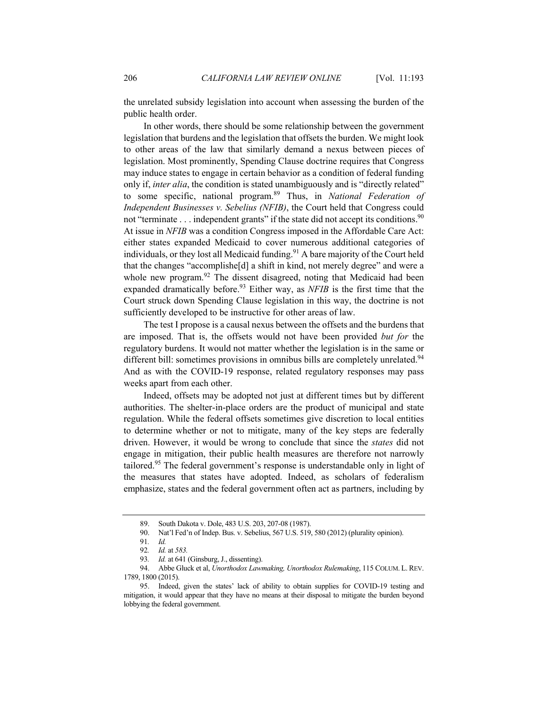the unrelated subsidy legislation into account when assessing the burden of the public health order.

In other words, there should be some relationship between the government legislation that burdens and the legislation that offsets the burden. We might look to other areas of the law that similarly demand a nexus between pieces of legislation. Most prominently, Spending Clause doctrine requires that Congress may induce states to engage in certain behavior as a condition of federal funding only if, *inter alia*, the condition is stated unambiguously and is "directly related" to some specific, national program.89 Thus, in *National Federation of Independent Businesses v. Sebelius (NFIB)*, the Court held that Congress could not "terminate  $\dots$  independent grants" if the state did not accept its conditions.<sup>90</sup> At issue in *NFIB* was a condition Congress imposed in the Affordable Care Act: either states expanded Medicaid to cover numerous additional categories of individuals, or they lost all Medicaid funding.<sup>91</sup> A bare majority of the Court held that the changes "accomplishe[d] a shift in kind, not merely degree" and were a whole new program.<sup>92</sup> The dissent disagreed, noting that Medicaid had been expanded dramatically before.<sup>93</sup> Either way, as *NFIB* is the first time that the Court struck down Spending Clause legislation in this way, the doctrine is not sufficiently developed to be instructive for other areas of law.

The test I propose is a causal nexus between the offsets and the burdens that are imposed. That is, the offsets would not have been provided *but for* the regulatory burdens. It would not matter whether the legislation is in the same or different bill: sometimes provisions in omnibus bills are completely unrelated.<sup>94</sup> And as with the COVID-19 response, related regulatory responses may pass weeks apart from each other.

Indeed, offsets may be adopted not just at different times but by different authorities. The shelter-in-place orders are the product of municipal and state regulation. While the federal offsets sometimes give discretion to local entities to determine whether or not to mitigate, many of the key steps are federally driven. However, it would be wrong to conclude that since the *states* did not engage in mitigation, their public health measures are therefore not narrowly tailored.<sup>95</sup> The federal government's response is understandable only in light of the measures that states have adopted. Indeed, as scholars of federalism emphasize, states and the federal government often act as partners, including by

 <sup>89.</sup> South Dakota v. Dole, 483 U.S. 203, 207-08 (1987).

 <sup>90.</sup> Nat'l Fed'n of Indep. Bus. v. Sebelius, 567 U.S. 519, 580 (2012) (plurality opinion).

<sup>91</sup>*. Id.* 

<sup>92</sup>*. Id.* at *583.* 

<sup>93</sup>*. Id.* at 641 (Ginsburg, J., dissenting).

 <sup>94.</sup> Abbe Gluck et al, *Unorthodox Lawmaking, Unorthodox Rulemaking*, 115 COLUM. L. REV. 1789, 1800 (2015).

 <sup>95.</sup> Indeed, given the states' lack of ability to obtain supplies for COVID-19 testing and mitigation, it would appear that they have no means at their disposal to mitigate the burden beyond lobbying the federal government.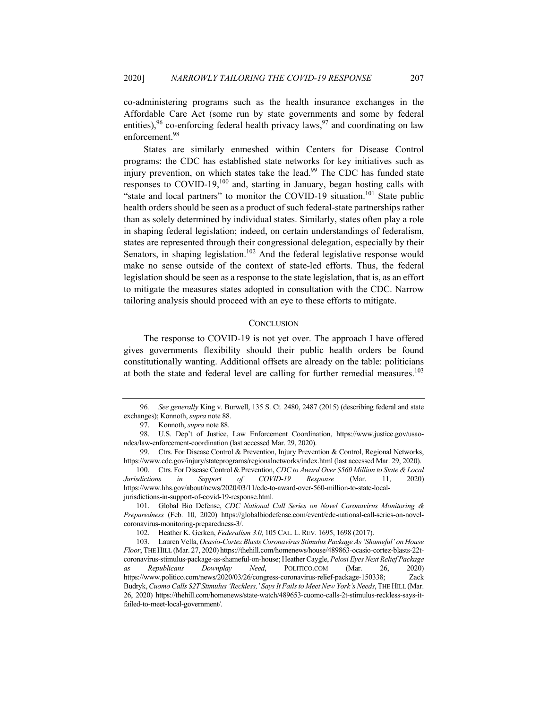co-administering programs such as the health insurance exchanges in the Affordable Care Act (some run by state governments and some by federal entities),  $96$  co-enforcing federal health privacy laws,  $97$  and coordinating on law enforcement.<sup>98</sup>

States are similarly enmeshed within Centers for Disease Control programs: the CDC has established state networks for key initiatives such as injury prevention, on which states take the lead.<sup>99</sup> The CDC has funded state responses to COVID-19,100 and, starting in January, began hosting calls with "state and local partners" to monitor the COVID-19 situation.<sup>101</sup> State public health orders should be seen as a product of such federal-state partnerships rather than as solely determined by individual states. Similarly, states often play a role in shaping federal legislation; indeed, on certain understandings of federalism, states are represented through their congressional delegation, especially by their Senators, in shaping legislation.<sup>102</sup> And the federal legislative response would make no sense outside of the context of state-led efforts. Thus, the federal legislation should be seen as a response to the state legislation, that is, as an effort to mitigate the measures states adopted in consultation with the CDC. Narrow tailoring analysis should proceed with an eye to these efforts to mitigate.

#### **CONCLUSION**

The response to COVID-19 is not yet over. The approach I have offered gives governments flexibility should their public health orders be found constitutionally wanting. Additional offsets are already on the table: politicians at both the state and federal level are calling for further remedial measures.<sup>103</sup>

<sup>96</sup>*. See generally* King v. Burwell, 135 S. Ct. 2480, 2487 (2015) (describing federal and state exchanges); Konnoth, *supra* note 88.

 <sup>97.</sup> Konnoth, *supra* note 88.

 <sup>98.</sup> U.S. Dep't of Justice, Law Enforcement Coordination, https://www.justice.gov/usaondca/law-enforcement-coordination (last accessed Mar. 29, 2020).

 <sup>99.</sup> Ctrs. For Disease Control & Prevention, Injury Prevention & Control, Regional Networks, https://www.cdc.gov/injury/stateprograms/regionalnetworks/index.html (last accessed Mar. 29, 2020).

 <sup>100.</sup> Ctrs. For Disease Control & Prevention, *CDC to Award Over \$560 Million to State & Local Jurisdictions in Support of COVID-19 Response* (Mar. 11, 2020) https://www.hhs.gov/about/news/2020/03/11/cdc-to-award-over-560-million-to-state-localjurisdictions-in-support-of-covid-19-response.html.

 <sup>101.</sup> Global Bio Defense, *CDC National Call Series on Novel Coronavirus Monitoring & Preparedness* (Feb. 10, 2020) https://globalbiodefense.com/event/cdc-national-call-series-on-novelcoronavirus-monitoring-preparedness-3/.

 <sup>102.</sup> Heather K. Gerken, *Federalism 3.0*, 105 CAL. L. REV. 1695, 1698 (2017).

 <sup>103.</sup> Lauren Vella, *Ocasio-Cortez Blasts Coronavirus Stimulus Package As 'Shameful' on House Floor*, THE HILL (Mar. 27, 2020) https://thehill.com/homenews/house/489863-ocasio-cortez-blasts-22tcoronavirus-stimulus-package-as-shameful-on-house; Heather Caygle, *Pelosi Eyes Next Relief Package as Republicans Downplay Need*, POLITICO.COM (Mar. 26, 2020) https://www.politico.com/news/2020/03/26/congress-coronavirus-relief-package-150338; Zack Budryk, *Cuomo Calls \$2T Stimulus 'Reckless,' Says It Fails to Meet New York's Needs*,THE HILL (Mar. 26, 2020) https://thehill.com/homenews/state-watch/489653-cuomo-calls-2t-stimulus-reckless-says-itfailed-to-meet-local-government/.